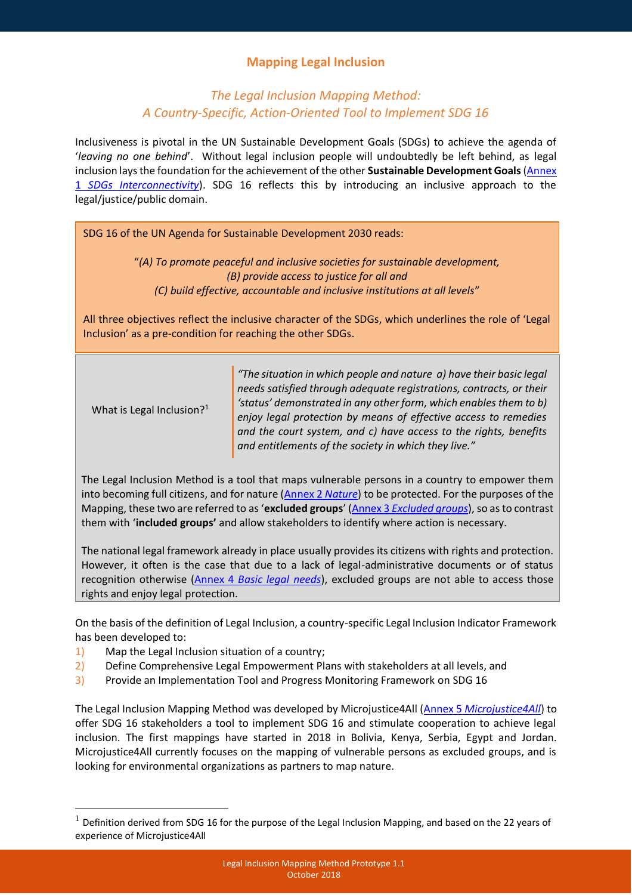# **Mapping Legal Inclusion**

## *The Legal Inclusion Mapping Method: A Country-Specific, Action-Oriented Tool to Implement SDG 16*

Inclusiveness is pivotal in the UN Sustainable Development Goals (SDGs) to achieve the agenda of '*leaving no one behind*'. Without legal inclusion people will undoubtedly be left behind, as legal inclusion lays the foundation for the achievement of the other Sustainable Development Goals (Annex 1 *[SDGs Interconnectivity](http://microjustice4all.org/mj4all/images/1_about/1810%20annex%201.pdf)*). SDG 16 reflects this by introducing an inclusive approach to the legal/justice/public domain.

SDG 16 of the UN Agenda for Sustainable Development 2030 reads:

"*(A) To promote peaceful and inclusive societies for sustainable development, (B) provide access to justice for all and (C) build effective, accountable and inclusive institutions at all levels*"

All three objectives reflect the inclusive character of the SDGs, which underlines the role of 'Legal Inclusion' as a pre-condition for reaching the other SDGs.

| What is Legal Inclusion? <sup>1</sup> |  |  |
|---------------------------------------|--|--|
|---------------------------------------|--|--|

1

*"The situation in which people and nature a) have their basic legal needs satisfied through adequate registrations, contracts, or their* 'status' demonstrated in any other form, which enables them to b) *enjoy legal protection by means of effective access to remedies and the court system, and c) have access to the rights, benefits and entitlements of the society in which they live."*

The Legal Inclusion Method is a tool that maps vulnerable persons in a country to empower them into becoming full citizens, and for nature [\(Annex 2](http://microjustice4all.org/mj4all/images/1_about/1810%20annex%202.pdf) *Nature*) to be protected. For the purposes of the Mapping, these two are referred to as '**excluded groups**' (Annex 3 *[Excluded groups](http://microjustice4all.org/mj4all/images/1_about/1810%20annex%203.pdf)*), so as to contrast them with '**included groups'** and allow stakeholders to identify where action is necessary.

The national legal framework already in place usually provides its citizens with rights and protection. However, it often is the case that due to a lack of legal-administrative documents or of status recognition otherwise (Annex 4 *[Basic legal needs](http://microjustice4all.org/mj4all/images/1_about/1810%20annex%204.pdf)*), excluded groups are not able to access those rights and enjoy legal protection.

On the basis of the definition of Legal Inclusion, a country-specific Legal Inclusion Indicator Framework has been developed to:

- 1) Map the Legal Inclusion situation of a country;
- 2) Define Comprehensive Legal Empowerment Plans with stakeholders at all levels, and
- 3) Provide an Implementation Tool and Progress Monitoring Framework on SDG 16

The Legal Inclusion Mapping Method was developed by Microjustice4All (Annex 5 *[Microjustice4All](http://microjustice4all.org/mj4all/images/1_about/1810%20annex%205.pdf)*) to offer SDG 16 stakeholders a tool to implement SDG 16 and stimulate cooperation to achieve legal inclusion. The first mappings have started in 2018 in Bolivia, Kenya, Serbia, Egypt and Jordan. Microjustice4All currently focuses on the mapping of vulnerable persons as excluded groups, and is looking for environmental organizations as partners to map nature.

 $<sup>1</sup>$  Definition derived from SDG 16 for the purpose of the Legal Inclusion Mapping, and based on the 22 years of</sup> experience of Microjustice4All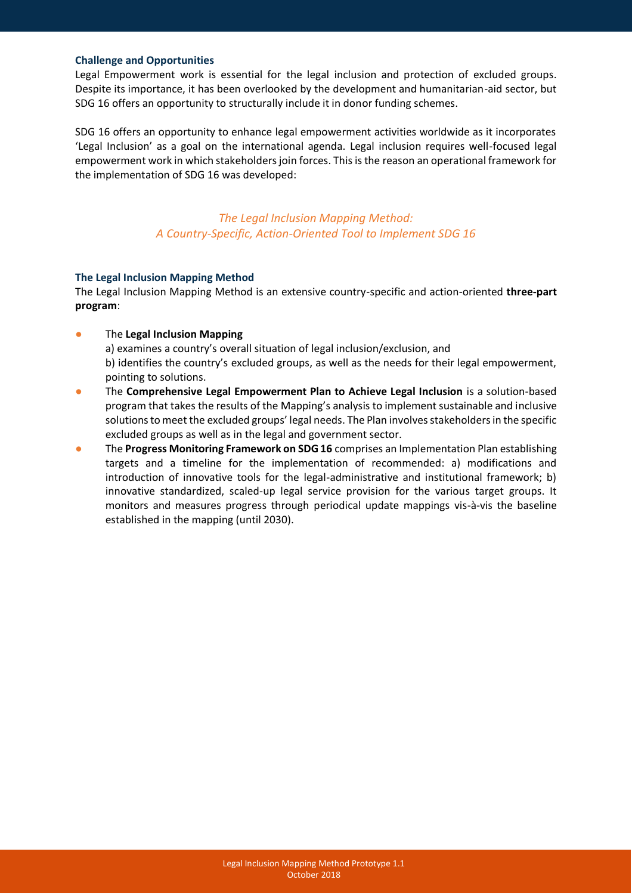#### **Challenge and Opportunities**

Legal Empowerment work is essential for the legal inclusion and protection of excluded groups. Despite its importance, it has been overlooked by the development and humanitarian-aid sector, but SDG 16 offers an opportunity to structurally include it in donor funding schemes.

SDG 16 offers an opportunity to enhance legal empowerment activities worldwide as it incorporates 'Legal Inclusion' as a goal on the international agenda. Legal inclusion requires well-focused legal empowerment work in which stakeholders join forces. This is the reason an operational framework for the implementation of SDG 16 was developed:

> *The Legal Inclusion Mapping Method: A Country-Specific, Action-Oriented Tool to Implement SDG 16*

## **The Legal Inclusion Mapping Method**

The Legal Inclusion Mapping Method is an extensive country-specific and action-oriented **three-part program**:

● The **Legal Inclusion Mapping**

a) examines a country's overall situation of legal inclusion/exclusion, and b) identifies the country's excluded groups, as well as the needs for their legal empowerment, pointing to solutions.

- The **Comprehensive Legal Empowerment Plan to Achieve Legal Inclusion** is a solution-based program that takes the results of the Mapping's analysis to implement sustainable and inclusive solutions to meet the excluded groups' legal needs. The Plan involves stakeholders in the specific excluded groups as well as in the legal and government sector.
- The **Progress Monitoring Framework on SDG 16** comprises an Implementation Plan establishing targets and a timeline for the implementation of recommended: a) modifications and introduction of innovative tools for the legal-administrative and institutional framework; b) innovative standardized, scaled-up legal service provision for the various target groups. It monitors and measures progress through periodical update mappings vis-à-vis the baseline established in the mapping (until 2030).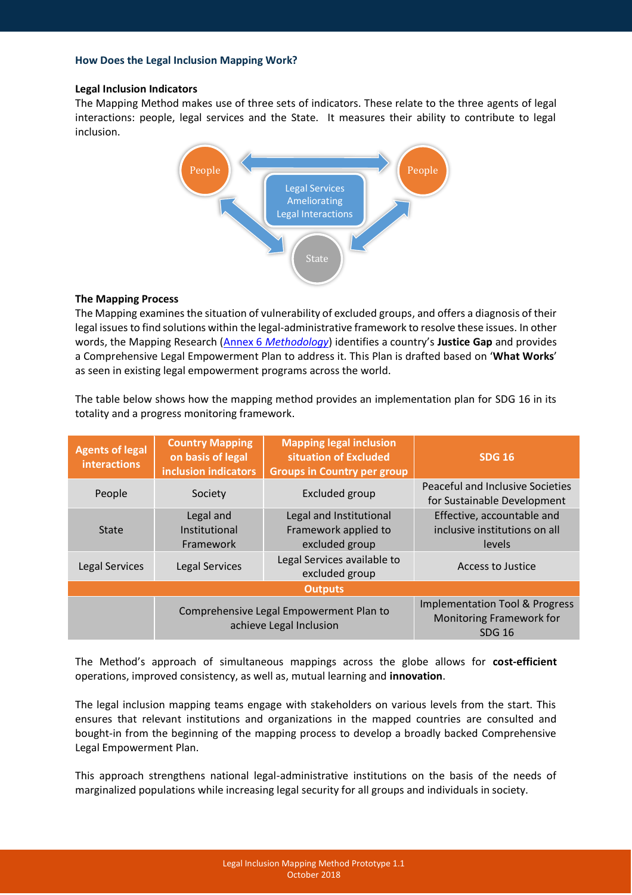#### **Legal Inclusion Indicators**

The Mapping Method makes use of three sets of indicators. These relate to the three agents of legal interactions: people, legal services and the State. It measures their ability to contribute to legal inclusion.



#### **The Mapping Process**

The Mapping examines the situation of vulnerability of excluded groups, and offers a diagnosis of their legal issues to find solutions within the legal-administrative framework to resolve these issues. In other words, the Mapping Research (Annex 6 *[Methodology](http://microjustice4all.org/mj4all/images/1_about/1810%20annex%206.pdf)*) identifies a country's **Justice Gap** and provides a Comprehensive Legal Empowerment Plan to address it. This Plan is drafted based on '**What Works**' as seen in existing legal empowerment programs across the world.

The table below shows how the mapping method provides an implementation plan for SDG 16 in its totality and a progress monitoring framework.

| <b>Agents of legal</b><br><b>interactions</b> | <b>Country Mapping</b><br>on basis of legal<br>inclusion indicators | <b>Mapping legal inclusion</b><br>situation of Excluded<br><b>Groups in Country per group</b> | <b>SDG 16</b>                                                                          |
|-----------------------------------------------|---------------------------------------------------------------------|-----------------------------------------------------------------------------------------------|----------------------------------------------------------------------------------------|
| People                                        | Society                                                             | Excluded group                                                                                | <b>Peaceful and Inclusive Societies</b><br>for Sustainable Development                 |
| <b>State</b>                                  | Legal and<br>Institutional<br>Framework                             | Legal and Institutional<br>Framework applied to<br>excluded group                             | Effective, accountable and<br>inclusive institutions on all<br>levels                  |
| Legal Services                                | Legal Services                                                      | Legal Services available to<br>excluded group                                                 | Access to Justice                                                                      |
| <b>Outputs</b>                                |                                                                     |                                                                                               |                                                                                        |
|                                               | Comprehensive Legal Empowerment Plan to<br>achieve Legal Inclusion  |                                                                                               | <b>Implementation Tool &amp; Progress</b><br>Monitoring Framework for<br><b>SDG 16</b> |

The Method's approach of simultaneous mappings across the globe allows for **cost-efficient** operations, improved consistency, as well as, mutual learning and **innovation**.

The legal inclusion mapping teams engage with stakeholders on various levels from the start. This ensures that relevant institutions and organizations in the mapped countries are consulted and bought-in from the beginning of the mapping process to develop a broadly backed Comprehensive Legal Empowerment Plan.

This approach strengthens national legal-administrative institutions on the basis of the needs of marginalized populations while increasing legal security for all groups and individuals in society.